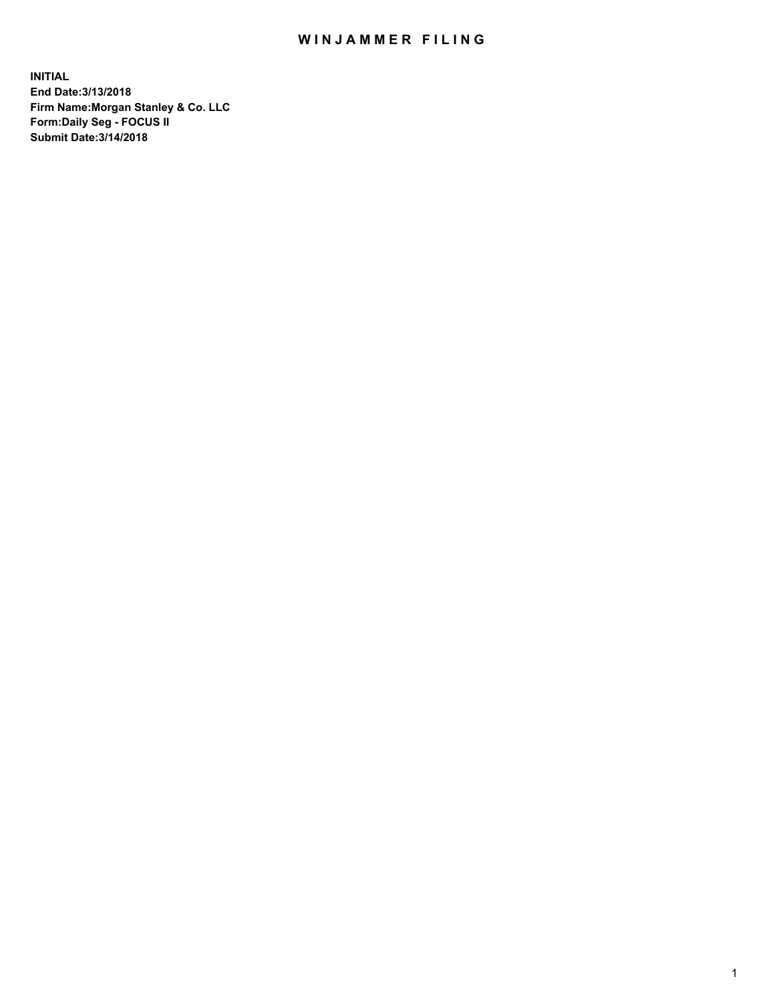# WIN JAMMER FILING

**INITIAL End Date:3/13/2018 Firm Name:Morgan Stanley & Co. LLC Form:Daily Seg - FOCUS II Submit Date:3/14/2018**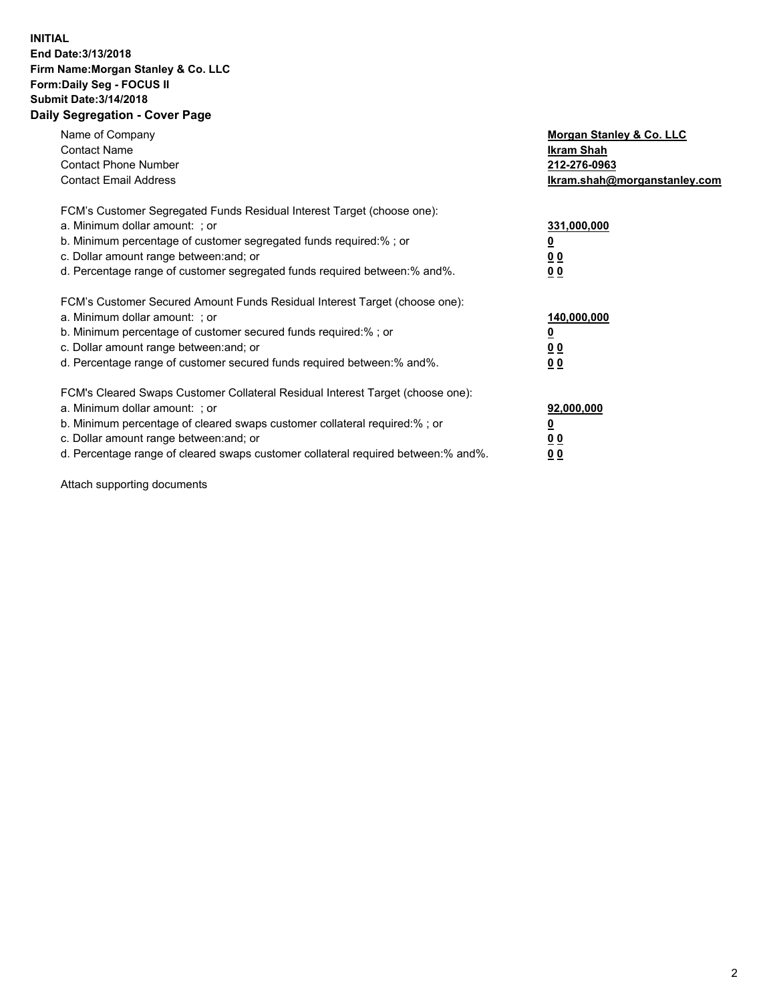### **INITIAL End Date:3/13/2018 Firm Name:Morgan Stanley & Co. LLC Form:Daily Seg - FOCUS II Submit Date:3/14/2018 Daily Segregation - Cover Page**

| Name of Company<br><b>Contact Name</b><br><b>Contact Phone Number</b><br><b>Contact Email Address</b>                                                                                                                                                                                                                          | Morgan Stanley & Co. LLC<br>Ikram Shah<br>212-276-0963<br>lkram.shah@morganstanley.com |
|--------------------------------------------------------------------------------------------------------------------------------------------------------------------------------------------------------------------------------------------------------------------------------------------------------------------------------|----------------------------------------------------------------------------------------|
| FCM's Customer Segregated Funds Residual Interest Target (choose one):<br>a. Minimum dollar amount: ; or<br>b. Minimum percentage of customer segregated funds required:%; or<br>c. Dollar amount range between: and; or<br>d. Percentage range of customer segregated funds required between: % and %.                        | 331,000,000<br>0 <sub>0</sub><br>00                                                    |
| FCM's Customer Secured Amount Funds Residual Interest Target (choose one):<br>a. Minimum dollar amount: ; or<br>b. Minimum percentage of customer secured funds required:%; or<br>c. Dollar amount range between: and; or<br>d. Percentage range of customer secured funds required between:% and%.                            | 140,000,000<br>0 <sub>0</sub><br>0 <sub>0</sub>                                        |
| FCM's Cleared Swaps Customer Collateral Residual Interest Target (choose one):<br>a. Minimum dollar amount: ; or<br>b. Minimum percentage of cleared swaps customer collateral required:% ; or<br>c. Dollar amount range between: and; or<br>d. Percentage range of cleared swaps customer collateral required between:% and%. | 92,000,000<br>0 <sub>0</sub><br>0 <sub>0</sub>                                         |

Attach supporting documents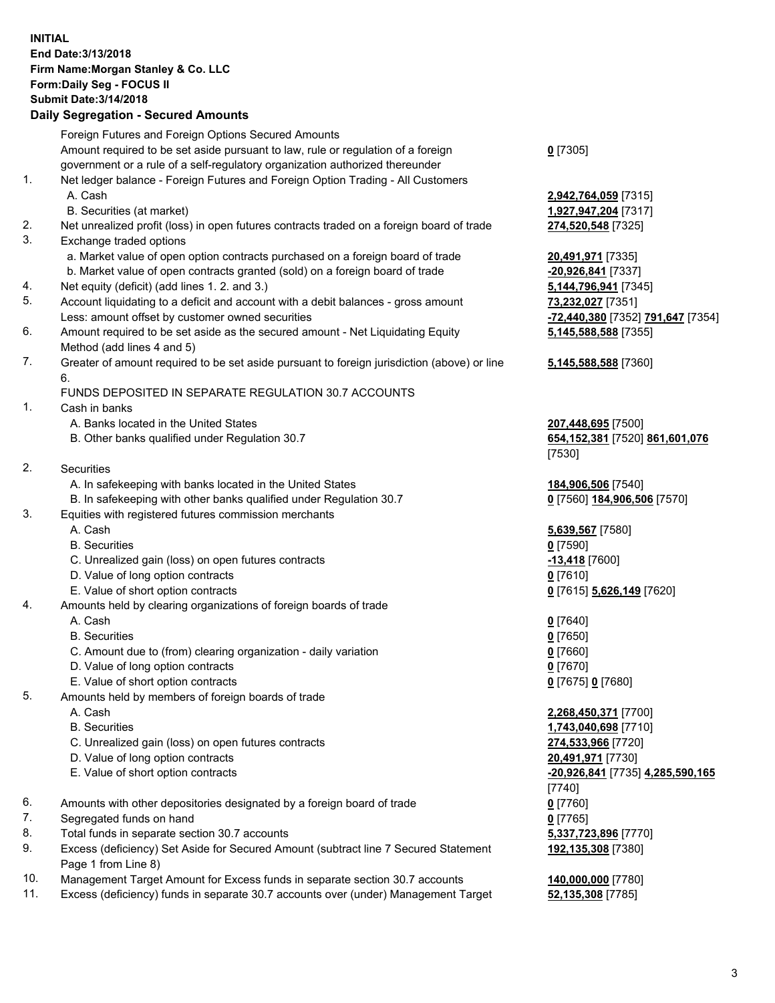# **INITIAL End Date:3/13/2018 Firm Name:Morgan Stanley & Co. LLC Form:Daily Seg - FOCUS II Submit Date:3/14/2018**

# **Daily Segregation - Secured Amounts**

|          | Foreign Futures and Foreign Options Secured Amounts                                                                          |                                            |
|----------|------------------------------------------------------------------------------------------------------------------------------|--------------------------------------------|
|          | Amount required to be set aside pursuant to law, rule or regulation of a foreign                                             | $0$ [7305]                                 |
|          | government or a rule of a self-regulatory organization authorized thereunder                                                 |                                            |
| 1.       | Net ledger balance - Foreign Futures and Foreign Option Trading - All Customers                                              |                                            |
|          | A. Cash                                                                                                                      | 2,942,764,059 [7315]                       |
|          | B. Securities (at market)                                                                                                    | 1,927,947,204 [7317]                       |
| 2.<br>3. | Net unrealized profit (loss) in open futures contracts traded on a foreign board of trade                                    | 274,520,548 [7325]                         |
|          | Exchange traded options                                                                                                      |                                            |
|          | a. Market value of open option contracts purchased on a foreign board of trade                                               | 20,491,971 [7335]                          |
| 4.       | b. Market value of open contracts granted (sold) on a foreign board of trade<br>Net equity (deficit) (add lines 1.2. and 3.) | -20,926,841 [7337]<br>5,144,796,941 [7345] |
| 5.       | Account liquidating to a deficit and account with a debit balances - gross amount                                            | 73,232,027 [7351]                          |
|          | Less: amount offset by customer owned securities                                                                             | -72,440,380 [7352] 791,647 [7354]          |
| 6.       | Amount required to be set aside as the secured amount - Net Liquidating Equity                                               | 5,145,588,588 [7355]                       |
|          | Method (add lines 4 and 5)                                                                                                   |                                            |
| 7.       | Greater of amount required to be set aside pursuant to foreign jurisdiction (above) or line                                  | 5,145,588,588 [7360]                       |
|          | 6.                                                                                                                           |                                            |
|          | FUNDS DEPOSITED IN SEPARATE REGULATION 30.7 ACCOUNTS                                                                         |                                            |
| 1.       | Cash in banks                                                                                                                |                                            |
|          | A. Banks located in the United States                                                                                        | 207,448,695 [7500]                         |
|          | B. Other banks qualified under Regulation 30.7                                                                               | 654, 152, 381 [7520] 861, 601, 076         |
|          |                                                                                                                              | [7530]                                     |
| 2.       | Securities                                                                                                                   |                                            |
|          | A. In safekeeping with banks located in the United States                                                                    | 184,906,506 [7540]                         |
|          | B. In safekeeping with other banks qualified under Regulation 30.7                                                           | 0 [7560] 184,906,506 [7570]                |
| 3.       | Equities with registered futures commission merchants                                                                        |                                            |
|          | A. Cash                                                                                                                      | 5,639,567 [7580]                           |
|          | <b>B.</b> Securities                                                                                                         | $0$ [7590]                                 |
|          | C. Unrealized gain (loss) on open futures contracts                                                                          | -13,418 [7600]                             |
|          | D. Value of long option contracts                                                                                            | $0$ [7610]                                 |
|          | E. Value of short option contracts                                                                                           | 0 [7615] 5,626,149 [7620]                  |
| 4.       | Amounts held by clearing organizations of foreign boards of trade                                                            |                                            |
|          | A. Cash                                                                                                                      | $0$ [7640]                                 |
|          | <b>B.</b> Securities                                                                                                         | $0$ [7650]                                 |
|          | C. Amount due to (from) clearing organization - daily variation<br>D. Value of long option contracts                         | $0$ [7660]<br>$0$ [7670]                   |
|          | E. Value of short option contracts                                                                                           | 0 [7675] 0 [7680]                          |
| 5.       | Amounts held by members of foreign boards of trade                                                                           |                                            |
|          | A. Cash                                                                                                                      | 2,268,450,371 [7700]                       |
|          | <b>B.</b> Securities                                                                                                         | 1,743,040,698 [7710]                       |
|          | C. Unrealized gain (loss) on open futures contracts                                                                          | 274,533,966 [7720]                         |
|          | D. Value of long option contracts                                                                                            | 20,491,971 [7730]                          |
|          | E. Value of short option contracts                                                                                           | -20,926,841 [7735] 4,285,590,165           |
|          |                                                                                                                              | [7740]                                     |
| 6.       | Amounts with other depositories designated by a foreign board of trade                                                       | $0$ [7760]                                 |
| 7.       | Segregated funds on hand                                                                                                     | $0$ [7765]                                 |
| 8.       | Total funds in separate section 30.7 accounts                                                                                | 5,337,723,896 [7770]                       |
| 9.       | Excess (deficiency) Set Aside for Secured Amount (subtract line 7 Secured Statement                                          | 192,135,308 [7380]                         |
|          | Page 1 from Line 8)                                                                                                          |                                            |

- 10. Management Target Amount for Excess funds in separate section 30.7 accounts **140,000,000** [7780]
- 11. Excess (deficiency) funds in separate 30.7 accounts over (under) Management Target **52,135,308** [7785]

#### **5,145,588,588** [7360]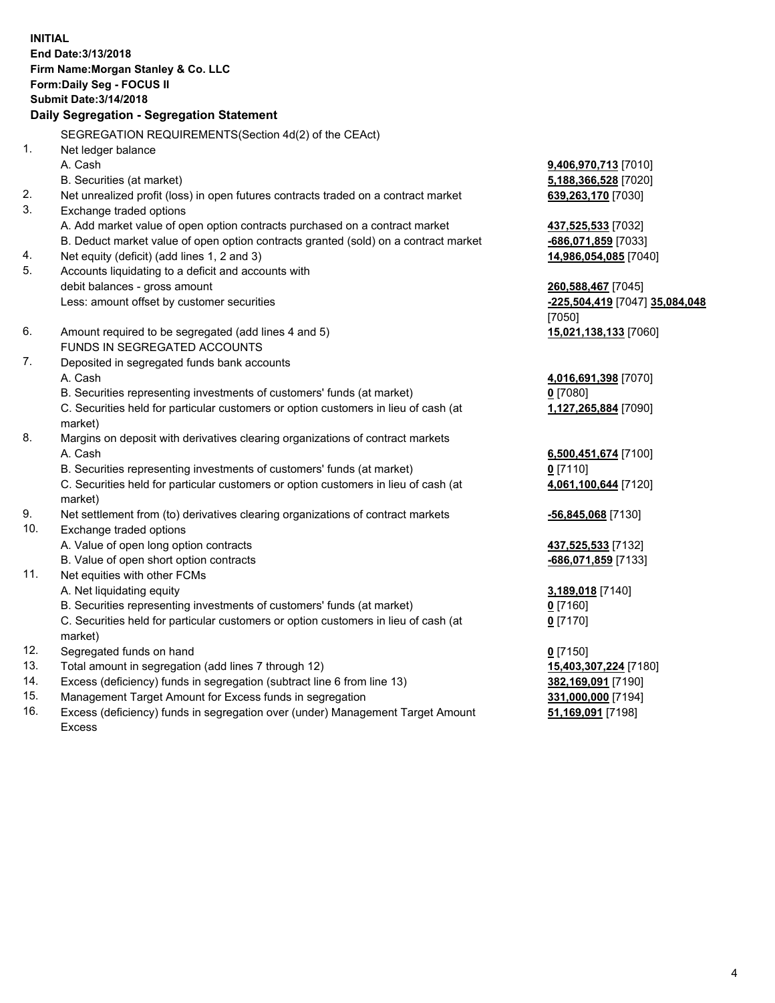**INITIAL End Date:3/13/2018 Firm Name:Morgan Stanley & Co. LLC Form:Daily Seg - FOCUS II Submit Date:3/14/2018 Daily Segregation - Segregation Statement** SEGREGATION REQUIREMENTS(Section 4d(2) of the CEAct) 1. Net ledger balance A. Cash **9,406,970,713** [7010] B. Securities (at market) **5,188,366,528** [7020] 2. Net unrealized profit (loss) in open futures contracts traded on a contract market **639,263,170** [7030] 3. Exchange traded options A. Add market value of open option contracts purchased on a contract market **437,525,533** [7032] B. Deduct market value of open option contracts granted (sold) on a contract market **-686,071,859** [7033] 4. Net equity (deficit) (add lines 1, 2 and 3) **14,986,054,085** [7040] 5. Accounts liquidating to a deficit and accounts with debit balances - gross amount **260,588,467** [7045] Less: amount offset by customer securities **-225,504,419** [7047] **35,084,048** [7050] 6. Amount required to be segregated (add lines 4 and 5) **15,021,138,133** [7060] FUNDS IN SEGREGATED ACCOUNTS 7. Deposited in segregated funds bank accounts A. Cash **4,016,691,398** [7070] B. Securities representing investments of customers' funds (at market) **0** [7080] C. Securities held for particular customers or option customers in lieu of cash (at market) **1,127,265,884** [7090] 8. Margins on deposit with derivatives clearing organizations of contract markets A. Cash **6,500,451,674** [7100] B. Securities representing investments of customers' funds (at market) **0** [7110] C. Securities held for particular customers or option customers in lieu of cash (at market) **4,061,100,644** [7120] 9. Net settlement from (to) derivatives clearing organizations of contract markets **-56,845,068** [7130] 10. Exchange traded options A. Value of open long option contracts **437,525,533** [7132] B. Value of open short option contracts **-686,071,859** [7133] 11. Net equities with other FCMs A. Net liquidating equity **3,189,018** [7140] B. Securities representing investments of customers' funds (at market) **0** [7160] C. Securities held for particular customers or option customers in lieu of cash (at market) **0** [7170] 12. Segregated funds on hand **0** [7150] 13. Total amount in segregation (add lines 7 through 12) **15,403,307,224** [7180] 14. Excess (deficiency) funds in segregation (subtract line 6 from line 13) **382,169,091** [7190]

- 15. Management Target Amount for Excess funds in segregation **331,000,000** [7194]
- 16. Excess (deficiency) funds in segregation over (under) Management Target Amount Excess

**51,169,091** [7198]